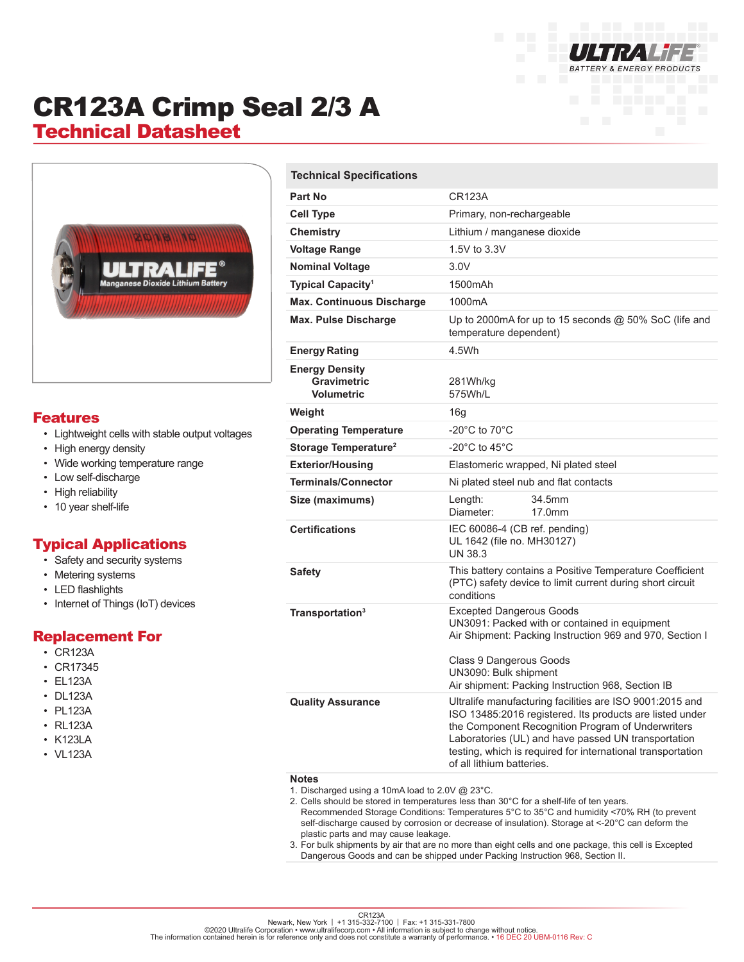

# CR123A Crimp Seal 2/3 A

## Technical Datasheet



#### Features

- Lightweight cells with stable output voltages
- High energy density
- Wide working temperature range
- Low self-discharge
- High reliability
- 10 year shelf-life

#### Typical Applications

- Safety and security systems
- Metering systems
- LED flashlights
- Internet of Things (IoT) devices

#### Replacement For

- CR123A
- CR17345
- EL123A
- DL123A
- PL123A
- RL123A
- K123LA
- VL123A

| <b>Technical Specifications</b>                           |                                                                                                                                                                                                                                                                                                                              |
|-----------------------------------------------------------|------------------------------------------------------------------------------------------------------------------------------------------------------------------------------------------------------------------------------------------------------------------------------------------------------------------------------|
| <b>Part No</b>                                            | CR123A                                                                                                                                                                                                                                                                                                                       |
| <b>Cell Type</b>                                          | Primary, non-rechargeable                                                                                                                                                                                                                                                                                                    |
| Chemistry                                                 | Lithium / manganese dioxide                                                                                                                                                                                                                                                                                                  |
| <b>Voltage Range</b>                                      | 1.5V to 3.3V                                                                                                                                                                                                                                                                                                                 |
| <b>Nominal Voltage</b>                                    | 3.0V                                                                                                                                                                                                                                                                                                                         |
| Typical Capacity <sup>1</sup>                             | 1500mAh                                                                                                                                                                                                                                                                                                                      |
| <b>Max. Continuous Discharge</b>                          | 1000mA                                                                                                                                                                                                                                                                                                                       |
| <b>Max. Pulse Discharge</b>                               | Up to 2000mA for up to 15 seconds $@$ 50% SoC (life and<br>temperature dependent)                                                                                                                                                                                                                                            |
| <b>Energy Rating</b>                                      | 4.5Wh                                                                                                                                                                                                                                                                                                                        |
| <b>Energy Density</b><br>Gravimetric<br><b>Volumetric</b> | 281Wh/kg<br>575Wh/L                                                                                                                                                                                                                                                                                                          |
| Weight                                                    | 16g                                                                                                                                                                                                                                                                                                                          |
| <b>Operating Temperature</b>                              | -20 $^{\circ}$ C to 70 $^{\circ}$ C                                                                                                                                                                                                                                                                                          |
| Storage Temperature <sup>2</sup>                          | -20 $^{\circ}$ C to 45 $^{\circ}$ C                                                                                                                                                                                                                                                                                          |
| <b>Exterior/Housing</b>                                   | Elastomeric wrapped, Ni plated steel                                                                                                                                                                                                                                                                                         |
| <b>Terminals/Connector</b>                                | Ni plated steel nub and flat contacts                                                                                                                                                                                                                                                                                        |
| Size (maximums)                                           | Length:<br>34.5mm<br>Diameter:<br>17.0mm                                                                                                                                                                                                                                                                                     |
| <b>Certifications</b>                                     | IEC 60086-4 (CB ref. pending)<br>UL 1642 (file no. MH30127)<br><b>UN 38.3</b>                                                                                                                                                                                                                                                |
| <b>Safety</b>                                             | This battery contains a Positive Temperature Coefficient<br>(PTC) safety device to limit current during short circuit<br>conditions                                                                                                                                                                                          |
| Transportation <sup>3</sup>                               | Excepted Dangerous Goods<br>UN3091: Packed with or contained in equipment<br>Air Shipment: Packing Instruction 969 and 970, Section I<br>Class 9 Dangerous Goods<br>UN3090: Bulk shipment<br>Air shipment: Packing Instruction 968, Section IB                                                                               |
| <b>Quality Assurance</b><br><b>Notes</b>                  | Ultralife manufacturing facilities are ISO 9001:2015 and<br>ISO 13485:2016 registered. Its products are listed under<br>the Component Recognition Program of Underwriters<br>Laboratories (UL) and have passed UN transportation<br>testing, which is required for international transportation<br>of all lithium batteries. |

- 1. Discharged using a 10mA load to 2.0V @ 23°C.
- 2. Cells should be stored in temperatures less than 30°C for a shelf-life of ten years.
	- Recommended Storage Conditions: Temperatures 5°C to 35°C and humidity <70% RH (to prevent self-discharge caused by corrosion or decrease of insulation). Storage at <-20°C can deform the plastic parts and may cause leakage.
- 3. For bulk shipments by air that are no more than eight cells and one package, this cell is Excepted Dangerous Goods and can be shipped under Packing Instruction 968, Section II.